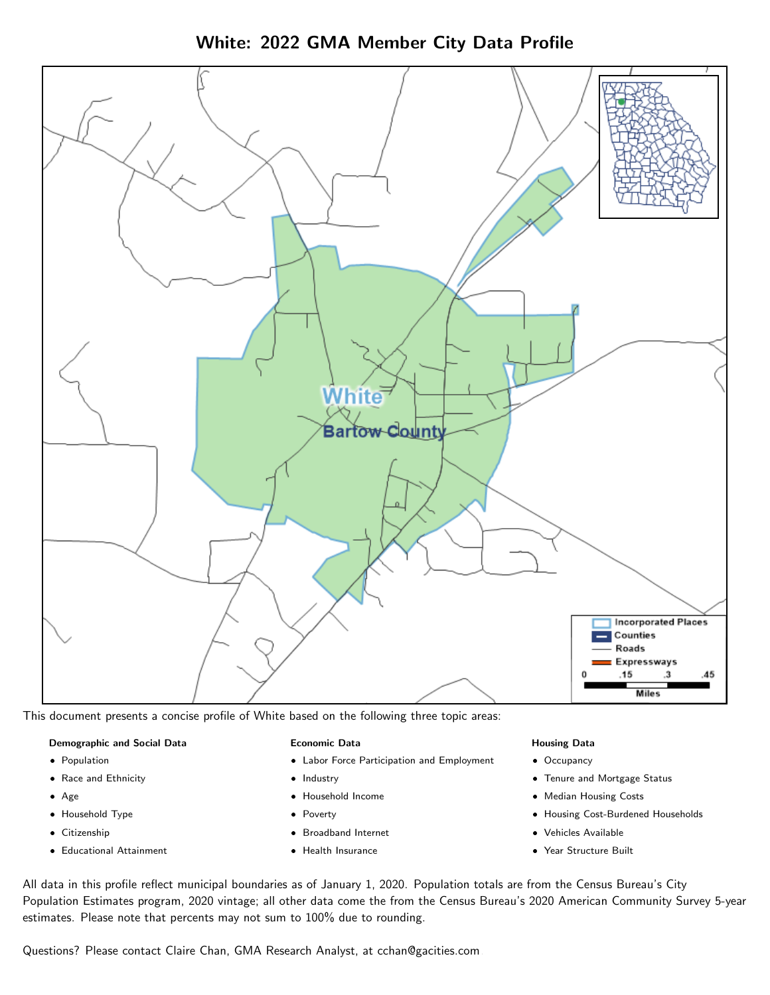White: 2022 GMA Member City Data Profile



This document presents a concise profile of White based on the following three topic areas:

#### Demographic and Social Data

- **•** Population
- Race and Ethnicity
- Age
- Household Type
- **Citizenship**
- Educational Attainment

#### Economic Data

- Labor Force Participation and Employment
- Industry
- Household Income
- Poverty
- Broadband Internet
- Health Insurance

#### Housing Data

- Occupancy
- Tenure and Mortgage Status
- Median Housing Costs
- Housing Cost-Burdened Households
- Vehicles Available
- Year Structure Built

All data in this profile reflect municipal boundaries as of January 1, 2020. Population totals are from the Census Bureau's City Population Estimates program, 2020 vintage; all other data come the from the Census Bureau's 2020 American Community Survey 5-year estimates. Please note that percents may not sum to 100% due to rounding.

Questions? Please contact Claire Chan, GMA Research Analyst, at [cchan@gacities.com.](mailto:cchan@gacities.com)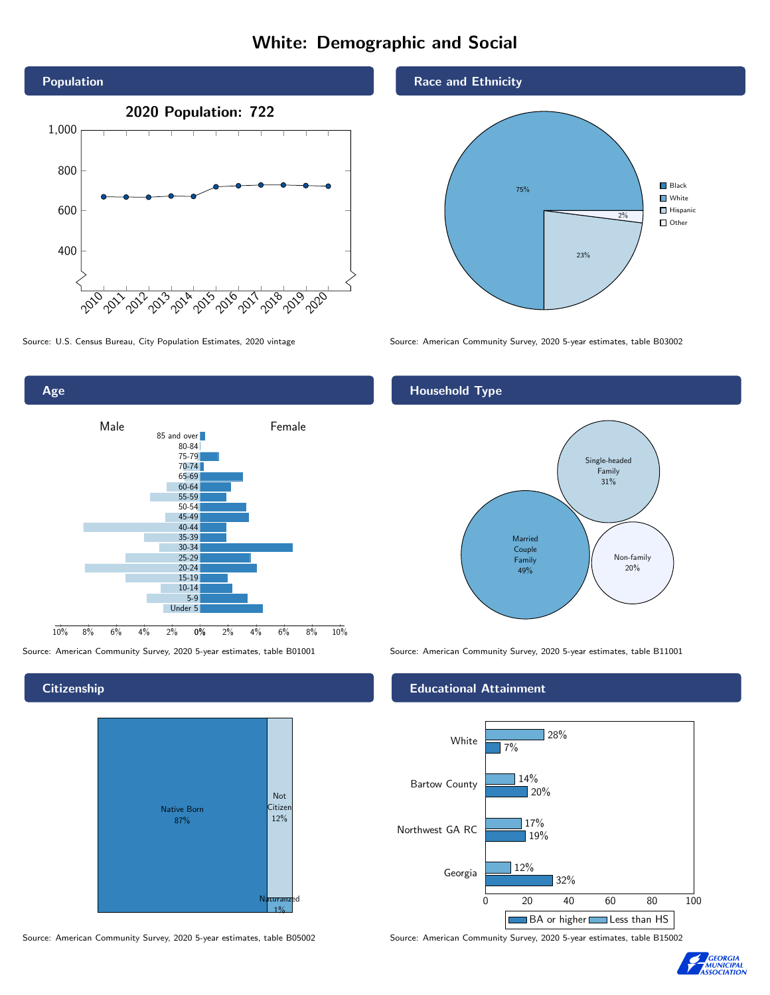# White: Demographic and Social





Age 0% 2% 4% 6% 8% 10% Male **Female** 10% 8% 6% 4% 2% 85 and over 80-84 75-79 70-74 65-69 60-64 55-59 50-54 45-49 40-44 35-39 30-34 25-29 20-24 15-19 10-14 5-9 Under 5

**Citizenship** 



Source: American Community Survey, 2020 5-year estimates, table B05002 Source: American Community Survey, 2020 5-year estimates, table B15002

Race and Ethnicity



### Household Type



Source: American Community Survey, 2020 5-year estimates, table B01001 Source: American Community Survey, 2020 5-year estimates, table B11001

#### Educational Attainment



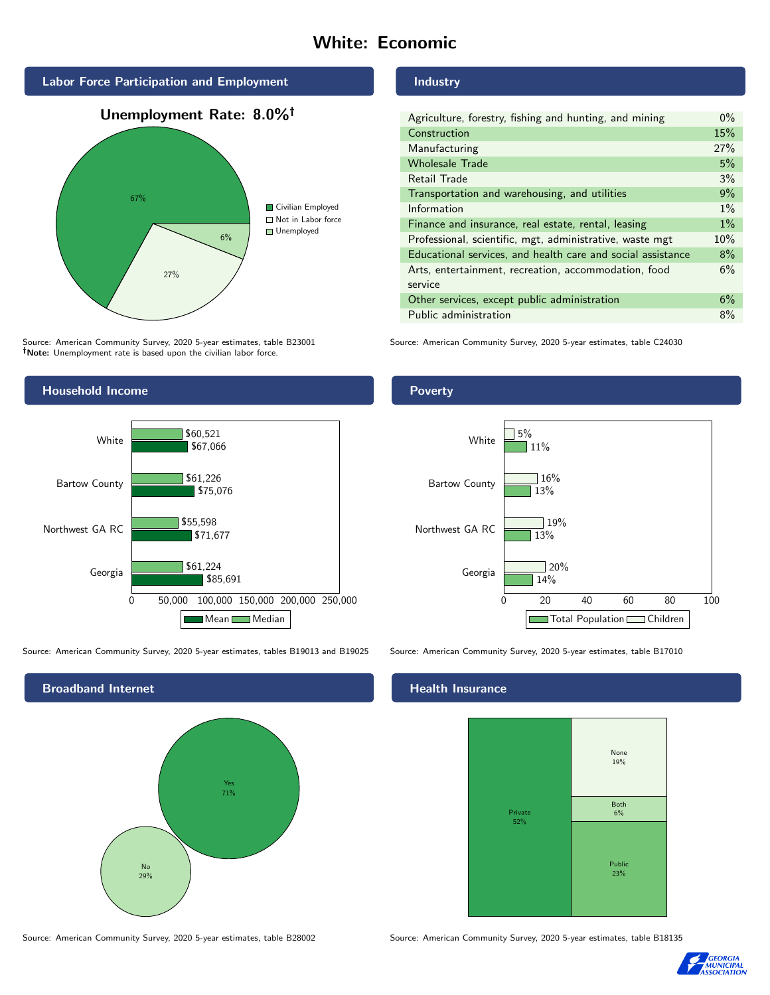# White: Economic







Source: American Community Survey, 2020 5-year estimates, table B23001 Note: Unemployment rate is based upon the civilian labor force.



Source: American Community Survey, 2020 5-year estimates, tables B19013 and B19025 Source: American Community Survey, 2020 5-year estimates, table B17010



Industry

| Agriculture, forestry, fishing and hunting, and mining      | $0\%$ |
|-------------------------------------------------------------|-------|
| Construction                                                | 15%   |
| Manufacturing                                               | 27%   |
| <b>Wholesale Trade</b>                                      | 5%    |
| Retail Trade                                                | 3%    |
| Transportation and warehousing, and utilities               | 9%    |
| Information                                                 | $1\%$ |
| Finance and insurance, real estate, rental, leasing         | $1\%$ |
| Professional, scientific, mgt, administrative, waste mgt    | 10%   |
| Educational services, and health care and social assistance | 8%    |
| Arts, entertainment, recreation, accommodation, food        | 6%    |
| service                                                     |       |
| Other services, except public administration                | 6%    |
| Public administration                                       | 8%    |

Source: American Community Survey, 2020 5-year estimates, table C24030

Poverty



## **Health Insurance**



Source: American Community Survey, 2020 5-year estimates, table B28002 Source: American Community Survey, 2020 5-year estimates, table B18135